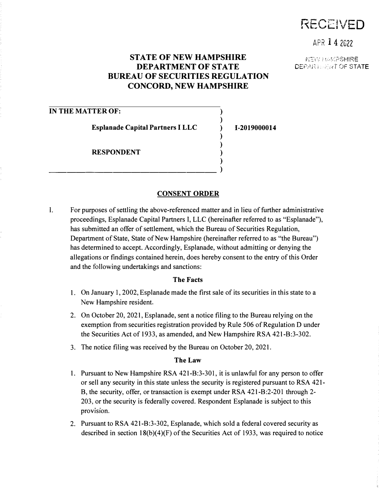# RECEIVED

APR 1 4 2022

## **STATE OF NEW HAMPSHIRE DEPARTMENT OF STATE BUREAU OF SECURITIES REGULATION CONCORD, NEW HAMPSHIRE**

**)**  ) **) ) ) ) )** 

**1-2019000014** 

 $\mathcal{N}$ EIM HAMPSHIRE DEPART. **ENT OF STATE** 

### **IN THE MATTER OF:**

**Esplanade Capital Partners I LLC** 

\_\_\_\_\_\_\_\_\_\_\_\_\_\_\_\_\_\_ )

**RESPONDENT** 

#### **CONSENT ORDER**

**I.** For purposes of settling the above-referenced matter and in lieu of further administrative proceedings, Esplanade Capital Partners I, LLC (hereinafter referred to as "Esplanade"), has submitted an offer of settlement, which the Bureau of Securities Regulation, Department of State, State of New Hampshire (hereinafter referred to as "the Bureau") has determined to accept. Accordingly, Esplanade, without admitting or denying the allegations or findings contained herein, does hereby consent to the entry of this Order and the following undertakings and sanctions:

#### **The Facts**

- 1. On January 1, 2002, Esplanade made the first sale of its securities in this state to a New Hampshire resident.
- 2. On October 20, 2021, Esplanade, sent a notice filing to the Bureau relying on the exemption from securities registration provided by Rule 506 of Regulation D under the Securities Act of 1933, as amended, and New Hampshire RSA 421-B:3-302.
- 3. The notice filing was received by the Bureau on October 20, 2021.

#### **The Law**

- 1. Pursuant to New Hampshire RSA 421-B:3-301, it is unlawful for any person to offer or sell any security in this state unless the security is registered pursuant to RSA 421- B, the security, offer, or transaction is exempt under RSA 421-B:2-201 through 2- 203, or the security is federally covered. Respondent Esplanade is subject to this provision.
- 2. Pursuant to RSA 421-B:3-302, Esplanade, which sold a federal covered security as described in section  $18(b)(4)(F)$  of the Securities Act of 1933, was required to notice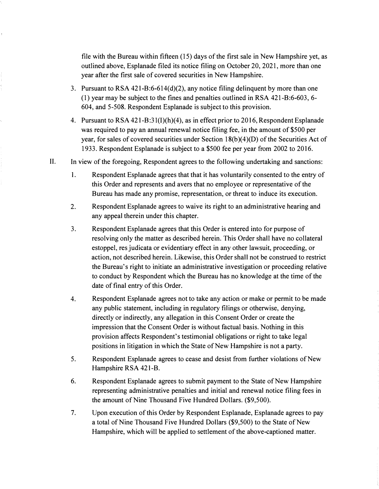**file with the Bureau within fifteen (15) days of the first sale in New Hampshire yet, as outlined above, Esplanade filed its notice filing on October 20, 2021, more than one year after the first sale of covered securities in New Hampshire.** 

- **3. Pursuant to RSA 421-B:6-614(d)(2), any notice filing delinquent by more than one (1) year may be subject to the fines and penalties outlined in RSA 421-B:6-603, 6- 604, and 5-508. Respondent Esplanade is subject to this provision.**
- 4. Pursuant to RSA 421-B:31(I)(h)(4), as in effect prior to 2016, Respondent Esplanade **was required to pay an annual renewal notice filing fee, in the amount of \$500 per**  year, for sales of covered securities under Section 18(b)(4)(D) of the Securities Act of **1933. Respondent Esplanade is subject to a \$500 fee per year from 2002 to 2016.**
- **II. In view of the foregoing, Respondent agrees to the following undertaking and sanctions:** 
	- **I. Respondent Esplanade agrees that that it has voluntarily consented to the entry of this Order and represents and avers that no employee or representative of the Bureau has made any promise, representation, or threat to induce its execution.**
	- **2. Respondent Esplanade agrees to waive its right to an administrative hearing and any appeal therein under this chapter.**
	- **3. Respondent Esplanade agrees that this Order is entered into for purpose of resolving only the matter as described herein. This Order shall have no collateral estoppel, res judicata or evidentiary effect in any other lawsuit, proceeding, or action, not described herein. Likewise, this Order shall not be construed to restrict the Bureau's right to initiate an administrative investigation or proceeding relative to conduct by Respondent which the Bureau has no knowledge at the time of the date of final entry of this Order.**
	- **4. Respondent Esplanade agrees not to take any action or make or permit to be made any public statement, including in regulatory filings or otherwise, denying, directly or indirectly, any allegation in this Consent Order or create the impression that the Consent Order is without factual basis. Nothing in this provision affects Respondent's testimonial obligations or right to take legal positions in litigation in which the State of New Hampshire is not a party.**
	- **5. Respondent Esplanade agrees to cease and desist from further violations of New Hampshire RSA 421-B.**
	- **6. Respondent Esplanade agrees to submit payment to the State of New Hampshire representing administrative penalties and initial and renewal notice filing fees in the amount of Nine Thousand Five Hundred Dollars. (\$9,500).**
	- **7. Upon execution of this Order by Respondent Esplanade, Esplanade agrees to pay a total of Nine Thousand Five Hundred Dollars (\$9,500) to the State of New Hampshire, which will be applied to settlement of the above-captioned matter.**